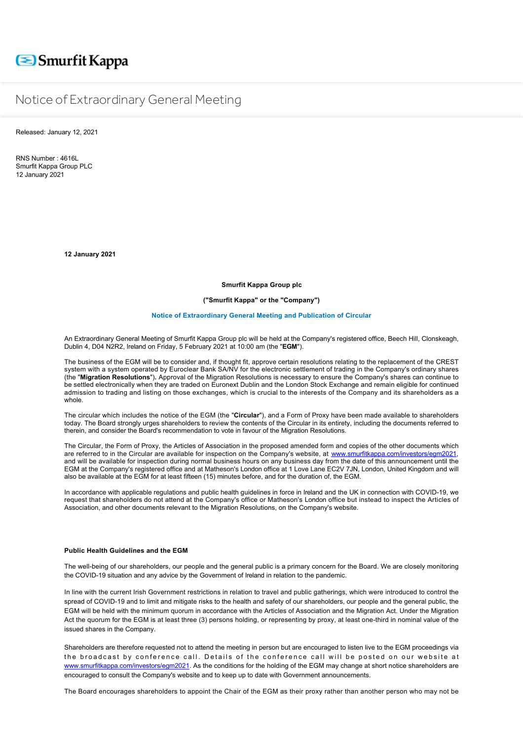# Smurfit Kappa

# Notice of Extraordinary General Meeting

Released: January 12, 2021

RNS Number : 4616L Smurfit Kappa Group PLC 12 January 2021

**12 January 2021**

**Smurfit Kappa Group plc**

**("Smurfit Kappa" or the "Company")**

## **Notice of Extraordinary General Meeting and Publication of Circular**

An Extraordinary General Meeting of Smurfit Kappa Group plc will be held at the Company's registered office, Beech Hill, Clonskeagh, Dublin 4, D04 N2R2, Ireland on Friday, 5 February 2021 at 10:00 am (the "**EGM**").

The business of the EGM will be to consider and, if thought fit, approve certain resolutions relating to the replacement of the CREST system with a system operated by Euroclear Bank SA/NV for the electronic settlement of trading in the Company's ordinary shares (the "**Migration Resolutions**")**.** Approval of the Migration Resolutions is necessary to ensure the Company's shares can continue to be settled electronically when they are traded on Euronext Dublin and the London Stock Exchange and remain eligible for continued admission to trading and listing on those exchanges, which is crucial to the interests of the Company and its shareholders as a whole.

The circular which includes the notice of the EGM (the "**Circular**"), and a Form of Proxy have been made available to shareholders today. The Board strongly urges shareholders to review the contents of the Circular in its entirety, including the documents referred to therein, and consider the Board's recommendation to vote in favour of the Migration Resolutions.

The Circular, the Form of Proxy, the Articles of Association in the proposed amended form and copies of the other documents which are referred to in the Circular are available for inspection on the Company's website, at www.smurfitkappa.com/inve and will be available for inspection during normal business hours on any business day from the date of this announcement until the EGM at the Company's registered office and at Matheson's London office at 1 Love Lane EC2V 7JN, London, United Kingdom and will also be available at the EGM for at least fifteen (15) minutes before, and for the duration of, the EGM.

In accordance with applicable regulations and public health guidelines in force in Ireland and the UK in connection with COVID-19, we request that shareholders do not attend at the Company's office or Matheson's London office but instead to inspect the Articles of Association, and other documents relevant to the Migration Resolutions, on the Company's website.

### **Public Health Guidelines and the EGM**

The well-being of our shareholders, our people and the general public is a primary concern for the Board. We are closely monitoring the COVID-19 situation and any advice by the Government of Ireland in relation to the pandemic.

In line with the current Irish Government restrictions in relation to travel and public gatherings, which were introduced to control the spread of COVID-19 and to limit and mitigate risks to the health and safety of our shareholders, our people and the general public, the EGM will be held with the minimum quorum in accordance with the Articles of Association and the Migration Act. Under the Migration Act the quorum for the EGM is at least three (3) persons holding, or representing by proxy, at least one-third in nominal value of the issued shares in the Company.

Shareholders are therefore requested not to attend the meeting in person but are encouraged to listen live to the EGM proceedings via the broadcast by conference call. Details of the conference call will be posted on our website at [www.smurfitkappa.com/investors/egm2021.](http://www.smurfitkappa.com/investors/egm2021) As the conditions for the holding of the EGM may change at short notice shareholders are encouraged to consult the Company's website and to keep up to date with Government announcements.

The Board encourages shareholders to appoint the Chair of the EGM as their proxy rather than another person who may not be